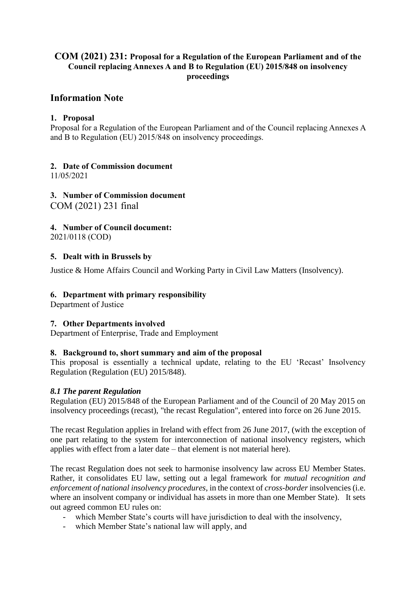### **COM (2021) 231: Proposal for a Regulation of the European Parliament and of the Council replacing Annexes A and B to Regulation (EU) 2015/848 on insolvency proceedings**

### **Information Note**

#### **1. Proposal**

Proposal for a Regulation of the European Parliament and of the Council replacing Annexes A and B to Regulation (EU) 2015/848 on insolvency proceedings.

### **2. Date of Commission document**

11/05/2021

**3. Number of Commission document** COM (2021) 231 final

## **4. Number of Council document:**

2021/0118 (COD)

#### **5. Dealt with in Brussels by**

Justice & Home Affairs Council and Working Party in Civil Law Matters (Insolvency).

### **6. Department with primary responsibility**

Department of Justice

### **7. Other Departments involved**

Department of Enterprise, Trade and Employment

### **8. Background to, short summary and aim of the proposal**

This proposal is essentially a technical update, relating to the EU 'Recast' Insolvency Regulation (Regulation (EU) 2015/848).

#### *8.1 The parent Regulation*

Regulation (EU) 2015/848 of the European Parliament and of the Council of 20 May 2015 on insolvency proceedings (recast), "the recast Regulation", entered into force on 26 June 2015.

The recast Regulation applies in Ireland with effect from 26 June 2017, (with the exception of one part relating to the system for interconnection of national insolvency registers, which applies with effect from a later date – that element is not material here).

The recast Regulation does not seek to harmonise insolvency law across EU Member States. Rather, it consolidates EU law, setting out a legal framework for *mutual recognition and enforcement of national insolvency procedures*, in the context of *cross-border*insolvencies (i.e. where an insolvent company or individual has assets in more than one Member State). It sets out agreed common EU rules on:

- which Member State's courts will have jurisdiction to deal with the insolvency,
- which Member State's national law will apply, and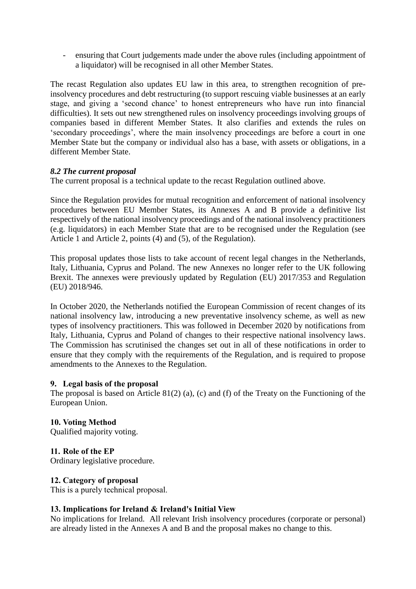- ensuring that Court judgements made under the above rules (including appointment of a liquidator) will be recognised in all other Member States.

The recast Regulation also updates EU law in this area, to strengthen recognition of preinsolvency procedures and debt restructuring (to support rescuing viable businesses at an early stage, and giving a 'second chance' to honest entrepreneurs who have run into financial difficulties). It sets out new strengthened rules on insolvency proceedings involving groups of companies based in different Member States. It also clarifies and extends the rules on 'secondary proceedings', where the main insolvency proceedings are before a court in one Member State but the company or individual also has a base, with assets or obligations, in a different Member State.

#### *8.2 The current proposal*

The current proposal is a technical update to the recast Regulation outlined above.

Since the Regulation provides for mutual recognition and enforcement of national insolvency procedures between EU Member States, its Annexes A and B provide a definitive list respectively of the national insolvency proceedings and of the national insolvency practitioners (e.g. liquidators) in each Member State that are to be recognised under the Regulation (see Article 1 and Article 2, points (4) and (5), of the Regulation).

This proposal updates those lists to take account of recent legal changes in the Netherlands, Italy, Lithuania, Cyprus and Poland. The new Annexes no longer refer to the UK following Brexit. The annexes were previously updated by Regulation (EU) 2017/353 and Regulation (EU) 2018/946.

In October 2020, the Netherlands notified the European Commission of recent changes of its national insolvency law, introducing a new preventative insolvency scheme, as well as new types of insolvency practitioners. This was followed in December 2020 by notifications from Italy, Lithuania, Cyprus and Poland of changes to their respective national insolvency laws. The Commission has scrutinised the changes set out in all of these notifications in order to ensure that they comply with the requirements of the Regulation, and is required to propose amendments to the Annexes to the Regulation.

### **9. Legal basis of the proposal**

The proposal is based on Article 81(2) (a), (c) and (f) of the Treaty on the Functioning of the European Union.

**10. Voting Method** Qualified majority voting.

**11. Role of the EP** Ordinary legislative procedure.

#### **12. Category of proposal**

This is a purely technical proposal.

### **13. Implications for Ireland & Ireland's Initial View**

No implications for Ireland. All relevant Irish insolvency procedures (corporate or personal) are already listed in the Annexes A and B and the proposal makes no change to this.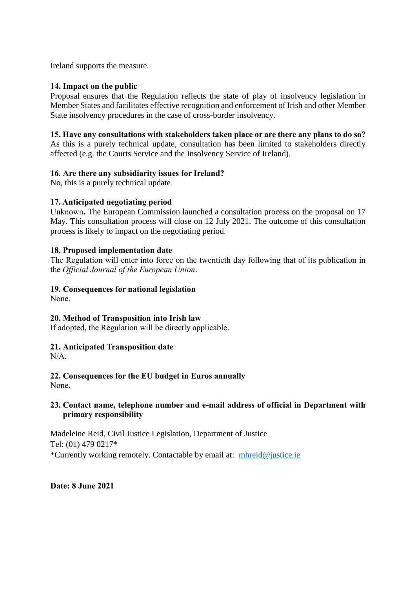Ireland supports the measure.

#### **14. Impact on the public**

Proposal ensures that the Regulation reflects the state of play of insolvency legislation in Member States and facilitates effective recognition and enforcement of Irish and other Member State insolvency procedures in the case of cross-border insolvency.

#### **15. Have any consultations with stakeholders taken place or are there any plans to do so?**

As this is a purely technical update, consultation has been limited to stakeholders directly affected (e.g. the Courts Service and the Insolvency Service of Ireland).

#### **16. Are there any subsidiarity issues for Ireland?**

No, this is a purely technical update*.*

#### **17. Anticipated negotiating period**

Unknown**.** The European Commission launched a consultation process on the proposal on 17 May. This consultation process will close on 12 July 2021. The outcome of this consultation process is likely to impact on the negotiating period.

#### **18. Proposed implementation date**

The Regulation will enter into force on the twentieth day following that of its publication in the *Official Journal of the European Union*.

#### **19. Consequences for national legislation**

None.

### **20. Method of Transposition into Irish law**

If adopted, the Regulation will be directly applicable.

### **21. Anticipated Transposition date**

N/A.

# **22. Consequences for the EU budget in Euros annually**

None.

### **23. Contact name, telephone number and e-mail address of official in Department with primary responsibility**

Madeleine Reid, Civil Justice Legislation, Department of Justice Tel: (01) 479 0217\* \*Currently working remotely. Contactable by email at: [mhreid@justice.ie](mailto:mhreid@justice.ie)

**Date: 8 June 2021**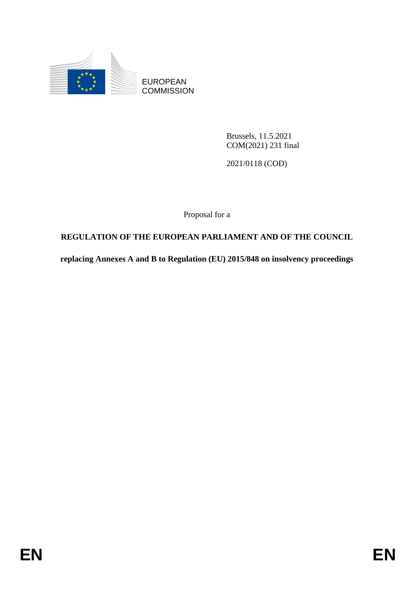

EUROPEAN **COMMISSION** 

> Brussels, 11.5.2021 COM(2021) 231 final

2021/0118 (COD)

Proposal for a

# **REGULATION OF THE EUROPEAN PARLIAMENT AND OF THE COUNCIL**

**replacing Annexes A and B to Regulation (EU) 2015/848 on insolvency proceedings**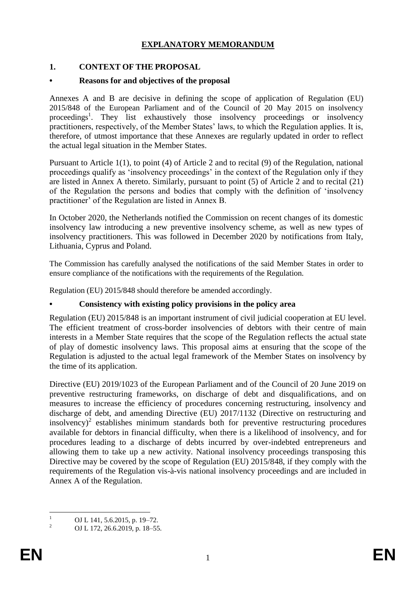## **EXPLANATORY MEMORANDUM**

### **1. CONTEXT OF THE PROPOSAL**

### **• Reasons for and objectives of the proposal**

Annexes A and B are decisive in defining the scope of application of Regulation (EU) 2015/848 of the European Parliament and of the Council of 20 May 2015 on insolvency proceedings<sup>1</sup>. They list exhaustively those insolvency proceedings or insolvency practitioners, respectively, of the Member States' laws, to which the Regulation applies. It is, therefore, of utmost importance that these Annexes are regularly updated in order to reflect the actual legal situation in the Member States.

Pursuant to Article 1(1), to point (4) of Article 2 and to recital (9) of the Regulation, national proceedings qualify as 'insolvency proceedings' in the context of the Regulation only if they are listed in Annex A thereto. Similarly, pursuant to point (5) of Article 2 and to recital (21) of the Regulation the persons and bodies that comply with the definition of 'insolvency practitioner' of the Regulation are listed in Annex B.

In October 2020, the Netherlands notified the Commission on recent changes of its domestic insolvency law introducing a new preventive insolvency scheme, as well as new types of insolvency practitioners. This was followed in December 2020 by notifications from Italy, Lithuania, Cyprus and Poland.

The Commission has carefully analysed the notifications of the said Member States in order to ensure compliance of the notifications with the requirements of the Regulation.

Regulation (EU) 2015/848 should therefore be amended accordingly.

### **• Consistency with existing policy provisions in the policy area**

Regulation (EU) 2015/848 is an important instrument of civil judicial cooperation at EU level. The efficient treatment of cross-border insolvencies of debtors with their centre of main interests in a Member State requires that the scope of the Regulation reflects the actual state of play of domestic insolvency laws. This proposal aims at ensuring that the scope of the Regulation is adjusted to the actual legal framework of the Member States on insolvency by the time of its application.

Directive (EU) 2019/1023 of the European Parliament and of the Council of 20 June 2019 on preventive restructuring frameworks, on discharge of debt and disqualifications, and on measures to increase the efficiency of procedures concerning restructuring, insolvency and discharge of debt, and amending Directive (EU) 2017/1132 (Directive on restructuring and insolvency) $2$  establishes minimum standards both for preventive restructuring procedures available for debtors in financial difficulty, when there is a likelihood of insolvency, and for procedures leading to a discharge of debts incurred by over-indebted entrepreneurs and allowing them to take up a new activity. National insolvency proceedings transposing this Directive may be covered by the scope of Regulation (EU) 2015/848, if they comply with the requirements of the Regulation vis-à-vis national insolvency proceedings and are included in Annex A of the Regulation.

 $\mathbf{1}$ <sup>1</sup> OJ L 141, 5.6.2015, p. 19–72.

<sup>2</sup> OJ L 172, 26.6.2019, p. 18–55.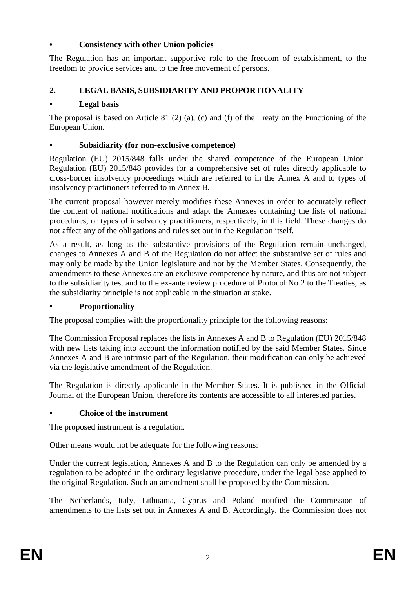## **• Consistency with other Union policies**

The Regulation has an important supportive role to the freedom of establishment, to the freedom to provide services and to the free movement of persons.

# **2. LEGAL BASIS, SUBSIDIARITY AND PROPORTIONALITY**

## **• Legal basis**

The proposal is based on Article 81 (2) (a), (c) and (f) of the Treaty on the Functioning of the European Union.

## **• Subsidiarity (for non-exclusive competence)**

Regulation (EU) 2015/848 falls under the shared competence of the European Union. Regulation (EU) 2015/848 provides for a comprehensive set of rules directly applicable to cross-border insolvency proceedings which are referred to in the Annex A and to types of insolvency practitioners referred to in Annex B.

The current proposal however merely modifies these Annexes in order to accurately reflect the content of national notifications and adapt the Annexes containing the lists of national procedures, or types of insolvency practitioners, respectively, in this field. These changes do not affect any of the obligations and rules set out in the Regulation itself.

As a result, as long as the substantive provisions of the Regulation remain unchanged, changes to Annexes A and B of the Regulation do not affect the substantive set of rules and may only be made by the Union legislature and not by the Member States. Consequently, the amendments to these Annexes are an exclusive competence by nature, and thus are not subject to the subsidiarity test and to the ex-ante review procedure of Protocol No 2 to the Treaties, as the subsidiarity principle is not applicable in the situation at stake.

# **• Proportionality**

The proposal complies with the proportionality principle for the following reasons:

The Commission Proposal replaces the lists in Annexes A and B to Regulation (EU) 2015/848 with new lists taking into account the information notified by the said Member States. Since Annexes A and B are intrinsic part of the Regulation, their modification can only be achieved via the legislative amendment of the Regulation.

The Regulation is directly applicable in the Member States. It is published in the Official Journal of the European Union, therefore its contents are accessible to all interested parties.

## **• Choice of the instrument**

The proposed instrument is a regulation.

Other means would not be adequate for the following reasons:

Under the current legislation, Annexes A and B to the Regulation can only be amended by a regulation to be adopted in the ordinary legislative procedure, under the legal base applied to the original Regulation. Such an amendment shall be proposed by the Commission.

The Netherlands, Italy, Lithuania, Cyprus and Poland notified the Commission of amendments to the lists set out in Annexes A and B. Accordingly, the Commission does not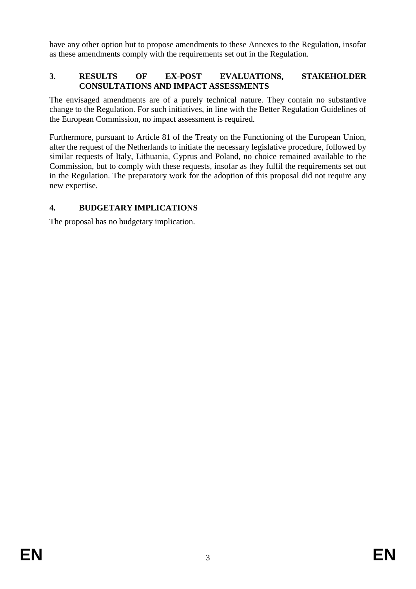have any other option but to propose amendments to these Annexes to the Regulation, insofar as these amendments comply with the requirements set out in the Regulation.

## **3. RESULTS OF EX-POST EVALUATIONS, STAKEHOLDER CONSULTATIONS AND IMPACT ASSESSMENTS**

The envisaged amendments are of a purely technical nature. They contain no substantive change to the Regulation. For such initiatives, in line with the Better Regulation Guidelines of the European Commission, no impact assessment is required.

Furthermore, pursuant to Article 81 of the Treaty on the Functioning of the European Union, after the request of the Netherlands to initiate the necessary legislative procedure, followed by similar requests of Italy, Lithuania, Cyprus and Poland, no choice remained available to the Commission, but to comply with these requests, insofar as they fulfil the requirements set out in the Regulation. The preparatory work for the adoption of this proposal did not require any new expertise.

# **4. BUDGETARY IMPLICATIONS**

The proposal has no budgetary implication.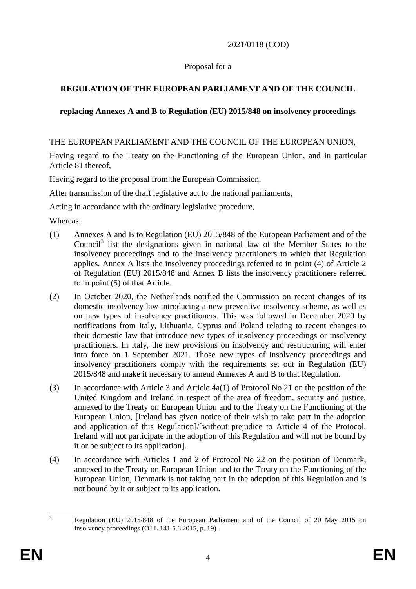## 2021/0118 (COD)

### Proposal for a

## **REGULATION OF THE EUROPEAN PARLIAMENT AND OF THE COUNCIL**

### **replacing Annexes A and B to Regulation (EU) 2015/848 on insolvency proceedings**

### THE EUROPEAN PARLIAMENT AND THE COUNCIL OF THE EUROPEAN UNION,

Having regard to the Treaty on the Functioning of the European Union, and in particular Article 81 thereof,

Having regard to the proposal from the European Commission,

After transmission of the draft legislative act to the national parliaments,

Acting in accordance with the ordinary legislative procedure,

Whereas:

- (1) Annexes A and B to Regulation (EU) 2015/848 of the European Parliament and of the Council<sup>3</sup> list the designations given in national law of the Member States to the insolvency proceedings and to the insolvency practitioners to which that Regulation applies. Annex A lists the insolvency proceedings referred to in point (4) of Article 2 of Regulation (EU) 2015/848 and Annex B lists the insolvency practitioners referred to in point (5) of that Article.
- (2) In October 2020, the Netherlands notified the Commission on recent changes of its domestic insolvency law introducing a new preventive insolvency scheme, as well as on new types of insolvency practitioners. This was followed in December 2020 by notifications from Italy, Lithuania, Cyprus and Poland relating to recent changes to their domestic law that introduce new types of insolvency proceedings or insolvency practitioners. In Italy, the new provisions on insolvency and restructuring will enter into force on 1 September 2021. Those new types of insolvency proceedings and insolvency practitioners comply with the requirements set out in Regulation (EU) 2015/848 and make it necessary to amend Annexes A and B to that Regulation.
- (3) In accordance with Article 3 and Article 4a(1) of Protocol No 21 on the position of the United Kingdom and Ireland in respect of the area of freedom, security and justice, annexed to the Treaty on European Union and to the Treaty on the Functioning of the European Union, [Ireland has given notice of their wish to take part in the adoption and application of this Regulation]/[without prejudice to Article 4 of the Protocol, Ireland will not participate in the adoption of this Regulation and will not be bound by it or be subject to its application].
- (4) In accordance with Articles 1 and 2 of Protocol No 22 on the position of Denmark, annexed to the Treaty on European Union and to the Treaty on the Functioning of the European Union, Denmark is not taking part in the adoption of this Regulation and is not bound by it or subject to its application.

 $\overline{a}$ <sup>3</sup> Regulation (EU) 2015/848 of the European Parliament and of the Council of 20 May 2015 on insolvency proceedings (OJ L 141 5.6.2015, p. 19).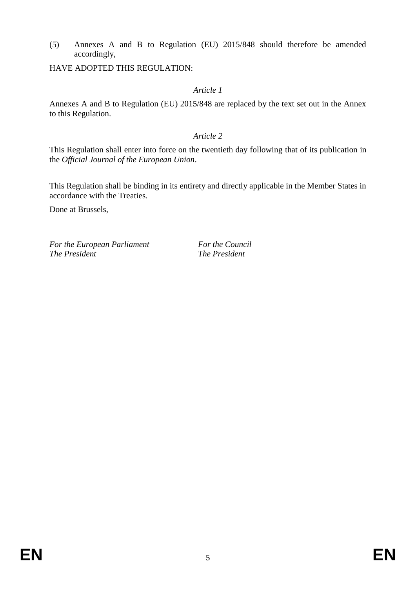(5) Annexes A and B to Regulation (EU) 2015/848 should therefore be amended accordingly,

HAVE ADOPTED THIS REGULATION:

### *Article 1*

Annexes A and B to Regulation (EU) 2015/848 are replaced by the text set out in the Annex to this Regulation.

### *Article 2*

This Regulation shall enter into force on the twentieth day following that of its publication in the *Official Journal of the European Union*.

This Regulation shall be binding in its entirety and directly applicable in the Member States in accordance with the Treaties.

Done at Brussels,

*For the European Parliament For the Council The President The President*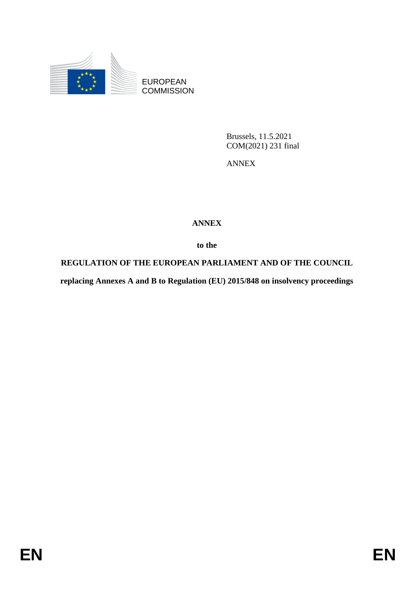

EUROPEAN **COMMISSION** 

> Brussels, 11.5.2021 COM(2021) 231 final

ANNEX

# **ANNEX**

**to the**

**REGULATION OF THE EUROPEAN PARLIAMENT AND OF THE COUNCIL**

**replacing Annexes A and B to Regulation (EU) 2015/848 on insolvency proceedings**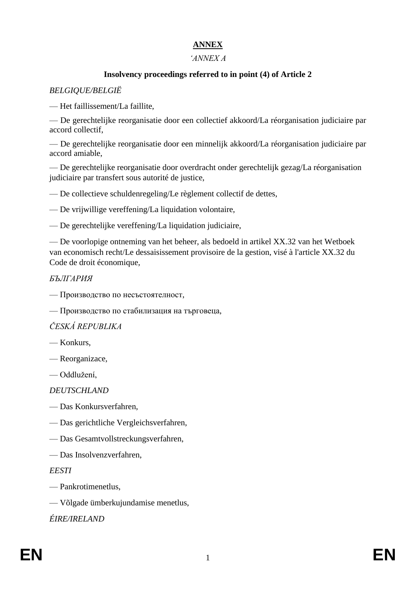# **ANNEX**

### *'ANNEX A*

## **Insolvency proceedings referred to in point (4) of Article 2**

## *BELGIQUE/BELGIË*

— Het faillissement/La faillite,

— De gerechtelijke reorganisatie door een collectief akkoord/La réorganisation judiciaire par accord collectif,

— De gerechtelijke reorganisatie door een minnelijk akkoord/La réorganisation judiciaire par accord amiable,

— De gerechtelijke reorganisatie door overdracht onder gerechtelijk gezag/La réorganisation judiciaire par transfert sous autorité de justice,

— De collectieve schuldenregeling/Le règlement collectif de dettes,

— De vrijwillige vereffening/La liquidation volontaire,

— De gerechtelijke vereffening/La liquidation judiciaire,

— De voorlopige ontneming van het beheer, als bedoeld in artikel XX.32 van het Wetboek van economisch recht/Le dessaisissement provisoire de la gestion, visé à l'article XX.32 du Code de droit économique,

# *БЪЛГАРИЯ*

— Производство по несъстоятелност,

— Производство по стабилизация на търговеца,

# *ČESKÁ REPUBLIKA*

- Konkurs,
- Reorganizace,
- Oddlužení,

# *DEUTSCHLAND*

- Das Konkursverfahren,
- Das gerichtliche Vergleichsverfahren,
- Das Gesamtvollstreckungsverfahren,
- Das Insolvenzverfahren,

# *EESTI*

- Pankrotimenetlus,
- Võlgade ümberkujundamise menetlus,

*ÉIRE/IRELAND*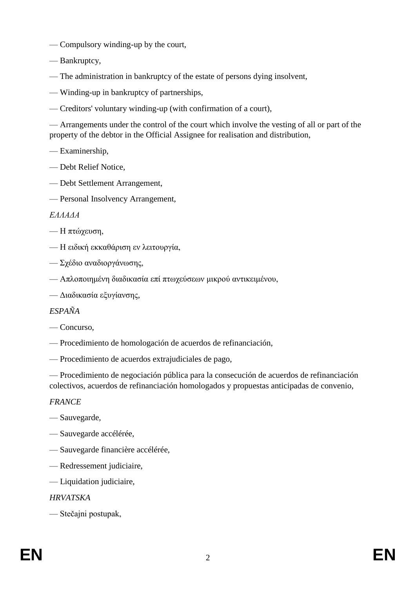- Compulsory winding-up by the court,
- Bankruptcy,
- The administration in bankruptcy of the estate of persons dying insolvent,
- Winding-up in bankruptcy of partnerships,
- Creditors' voluntary winding-up (with confirmation of a court),

— Arrangements under the control of the court which involve the vesting of all or part of the property of the debtor in the Official Assignee for realisation and distribution,

- Examinership,
- Debt Relief Notice,
- Debt Settlement Arrangement,
- Personal Insolvency Arrangement,

### *ΕΛΛΑΔΑ*

- Η πτώχευση,
- Η ειδική εκκαθάριση εν λειτουργία,
- Σχέδιο αναδιοργάνωσης,
- Απλοποιημένη διαδικασία επί πτωχεύσεων μικρού αντικειμένου,
- Διαδικασία εξυγίανσης,

### *ESPAÑA*

- Concurso,
- Procedimiento de homologación de acuerdos de refinanciación,
- Procedimiento de acuerdos extrajudiciales de pago,

— Procedimiento de negociación pública para la consecución de acuerdos de refinanciación colectivos, acuerdos de refinanciación homologados y propuestas anticipadas de convenio,

## *FRANCE*

- Sauvegarde,
- Sauvegarde accélérée,
- Sauvegarde financière accélérée,
- Redressement judiciaire,
- Liquidation judiciaire,

### *HRVATSKA*

— Stečajni postupak,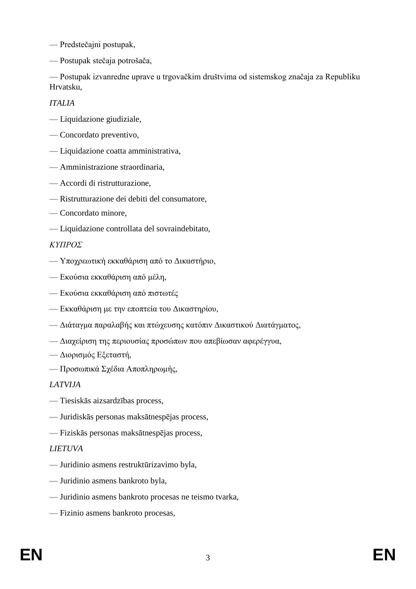- Predstečajni postupak,
- Postupak stečaja potrošača,

— Postupak izvanredne uprave u trgovačkim društvima od sistemskog značaja za Republiku Hrvatsku,

## *ITALIA*

- Liquidazione giudiziale,
- Concordato preventivo,
- Liquidazione coatta amministrativa,
- Amministrazione straordinaria,
- Accordi di ristrutturazione,
- Ristrutturazione dei debiti del consumatore,
- Concordato minore,
- Liquidazione controllata del sovraindebitato,

## *ΚΥΠΡΟΣ*

- Υποχρεωτική εκκαθάριση από το Δικαστήριο,
- Εκούσια εκκαθάριση από μέλη,
- Εκούσια εκκαθάριση από πιστωτές
- Εκκαθάριση με την εποπτεία του Δικαστηρίου,
- Διάταγμα παραλαβής και πτώχευσης κατόπιν Δικαστικού Διατάγματος,
- Διαχείριση της περιουσίας προσώπων που απεβίωσαν αφερέγγυα,
- Διορισμός Εξεταστή,
- Προσωπικά Σχέδια Αποπληρωμής,

## *LATVIJA*

- Tiesiskās aizsardzības process,
- Juridiskās personas maksātnespējas process,
- Fiziskās personas maksātnespējas process,

# *LIETUVA*

- Juridinio asmens restruktūrizavimo byla,
- Juridinio asmens bankroto byla,
- Juridinio asmens bankroto procesas ne teismo tvarka,
- Fizinio asmens bankroto procesas,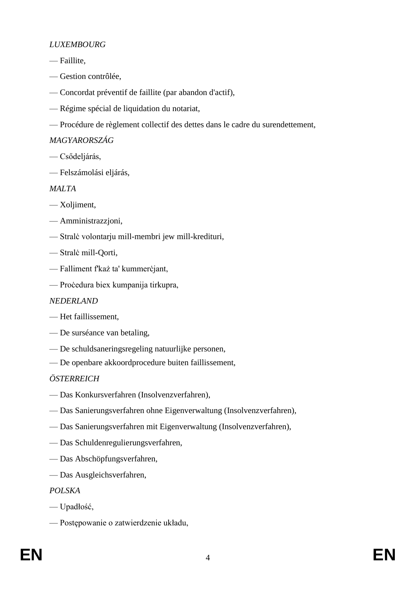## *LUXEMBOURG*

- Faillite,
- Gestion contrôlée,
- Concordat préventif de faillite (par abandon d'actif),
- Régime spécial de liquidation du notariat,
- Procédure de règlement collectif des dettes dans le cadre du surendettement,

### *MAGYARORSZÁG*

- Csődeljárás,
- Felszámolási eljárás,

### *MALTA*

- Xoljiment,
- Amministrazzjoni,
- Stralċ volontarju mill-membri jew mill-kredituri,
- Stralċ mill-Qorti,
- Falliment f'każ ta' kummerċjant,
- Proċedura biex kumpanija tirkupra,

## *NEDERLAND*

- Het faillissement,
- De surséance van betaling,
- De schuldsaneringsregeling natuurlijke personen,
- De openbare akkoordprocedure buiten faillissement,

## *ÖSTERREICH*

- Das Konkursverfahren (Insolvenzverfahren),
- Das Sanierungsverfahren ohne Eigenverwaltung (Insolvenzverfahren),
- Das Sanierungsverfahren mit Eigenverwaltung (Insolvenzverfahren),
- Das Schuldenregulierungsverfahren,
- Das Abschöpfungsverfahren,
- Das Ausgleichsverfahren,

### *POLSKA*

- Upadłość,
- Postępowanie o zatwierdzenie układu,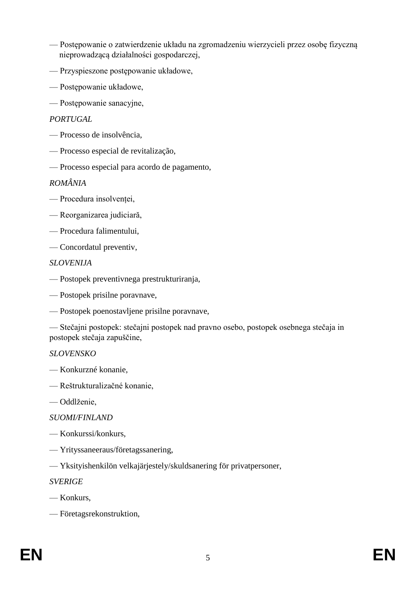- Postępowanie o zatwierdzenie układu na zgromadzeniu wierzycieli przez osobę fizyczną nieprowadzącą działalności gospodarczej,
- Przyspieszone postępowanie układowe,
- Postępowanie układowe,
- Postępowanie sanacyjne,

### *PORTUGAL*

- Processo de insolvência,
- Processo especial de revitalização,
- Processo especial para acordo de pagamento,

### *ROMÂNIA*

- Procedura insolvenței,
- Reorganizarea judiciară,
- Procedura falimentului,

— Concordatul preventiv,

#### *SLOVENIJA*

- Postopek preventivnega prestrukturiranja,
- Postopek prisilne poravnave,
- Postopek poenostavljene prisilne poravnave,

— Stečajni postopek: stečajni postopek nad pravno osebo, postopek osebnega stečaja in postopek stečaja zapuščine,

#### *SLOVENSKO*

- Konkurzné konanie,
- Reštrukturalizačné konanie,
- Oddlženie,

#### *SUOMI/FINLAND*

- Konkurssi/konkurs,
- Yrityssaneeraus/företagssanering,
- Yksityishenkilön velkajärjestely/skuldsanering för privatpersoner,

*SVERIGE*

- Konkurs,
- Företagsrekonstruktion,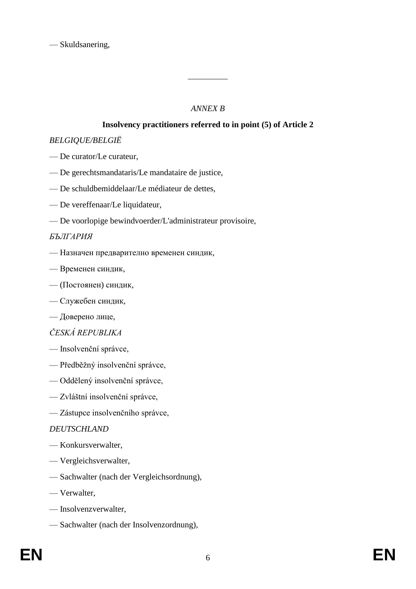— Skuldsanering,

## *ANNEX B*

## **Insolvency practitioners referred to in point (5) of Article 2**

### *BELGIQUE/BELGIË*

- De curator/Le curateur,
- De gerechtsmandataris/Le mandataire de justice,
- De schuldbemiddelaar/Le médiateur de dettes,
- De vereffenaar/Le liquidateur,
- De voorlopige bewindvoerder/L'administrateur provisoire,

## *БЪЛГАРИЯ*

- Назначен предварително временен синдик,
- Временен синдик,
- (Постоянен) синдик,
- Служебен синдик,
- Доверено лице,

## *ČESKÁ REPUBLIKA*

- Insolvenční správce,
- Předběžný insolvenční správce,
- Oddělený insolvenční správce,
- Zvláštní insolvenční správce,
- Zástupce insolvenčního správce,

## *DEUTSCHLAND*

- Konkursverwalter,
- Vergleichsverwalter,
- Sachwalter (nach der Vergleichsordnung),
- Verwalter,
- Insolvenzverwalter,
- Sachwalter (nach der Insolvenzordnung),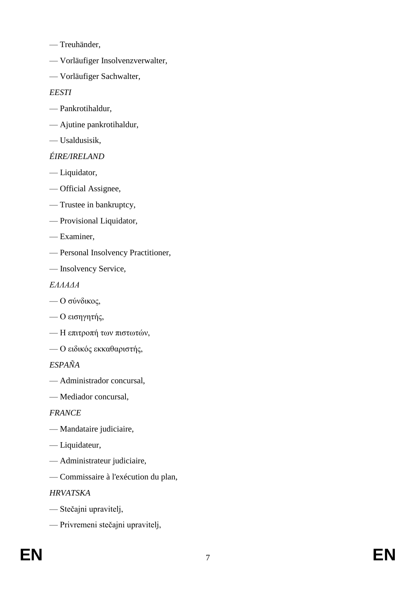- Treuhänder,
- Vorläufiger Insolvenzverwalter,
- Vorläufiger Sachwalter,

### *EESTI*

- Pankrotihaldur,
- Ajutine pankrotihaldur,
- Usaldusisik,

## *ÉIRE/IRELAND*

- Liquidator,
- Official Assignee,
- Trustee in bankruptcy,
- Provisional Liquidator,
- Examiner,
- Personal Insolvency Practitioner,
- Insolvency Service,

*ΕΛΛΑΔΑ*

- Ο σύνδικος,
- Ο εισηγητής,
- Η επιτροπή των πιστωτών,
- Ο ειδικός εκκαθαριστής,

*ESPAÑA*

- Administrador concursal,
- Mediador concursal,

## *FRANCE*

- Mandataire judiciaire,
- Liquidateur,
- Administrateur judiciaire,
- Commissaire à l'exécution du plan,

*HRVATSKA*

- Stečajni upravitelj,
- Privremeni stečajni upravitelj,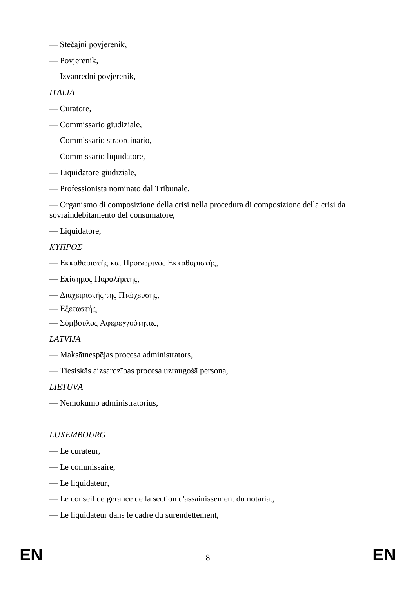- Stečajni povjerenik,
- Povjerenik,
- Izvanredni povjerenik,

## *ITALIA*

- Curatore,
- Commissario giudiziale,
- Commissario straordinario,
- Commissario liquidatore,
- Liquidatore giudiziale,
- Professionista nominato dal Tribunale,

— Organismo di composizione della crisi nella procedura di composizione della crisi da sovraindebitamento del consumatore,

# — Liquidatore,

# *ΚΥΠΡΟΣ*

- Εκκαθαριστής και Προσωρινός Εκκαθαριστής,
- Επίσημος Παραλήπτης,
- Διαχειριστής της Πτώχευσης,
- Εξεταστής,
- Σύμβουλος Αφερεγγυότητας,

# *LATVIJA*

- Maksātnespējas procesa administrators,
- Tiesiskās aizsardzības procesa uzraugošā persona,

# *LIETUVA*

— Nemokumo administratorius,

# *LUXEMBOURG*

- Le curateur,
- Le commissaire,
- Le liquidateur,
- Le conseil de gérance de la section d'assainissement du notariat,
- Le liquidateur dans le cadre du surendettement,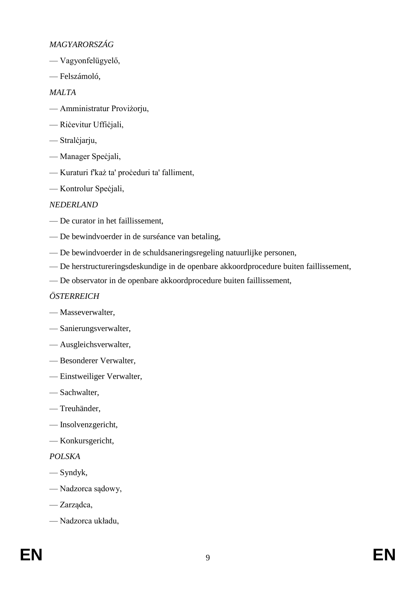### *MAGYARORSZÁG*

- Vagyonfelügyelő,
- Felszámoló,

### *MALTA*

- Amministratur Proviżorju,
- Riċevitur Uffiċjali,
- Stralċjarju,
- Manager Speċjali,
- Kuraturi f'każ ta' proċeduri ta' falliment,
- Kontrolur Speċjali,

### *NEDERLAND*

- De curator in het faillissement,
- De bewindvoerder in de surséance van betaling,
- De bewindvoerder in de schuldsaneringsregeling natuurlijke personen,
- De herstructureringsdeskundige in de openbare akkoordprocedure buiten faillissement,
- De observator in de openbare akkoordprocedure buiten faillissement,

### *ÖSTERREICH*

- Masseverwalter,
- Sanierungsverwalter,
- Ausgleichsverwalter,
- Besonderer Verwalter,
- Einstweiliger Verwalter,
- Sachwalter,
- Treuhänder,
- Insolvenzgericht,
- Konkursgericht,

## *POLSKA*

- Syndyk,
- Nadzorca sądowy,
- Zarządca,
- Nadzorca układu,